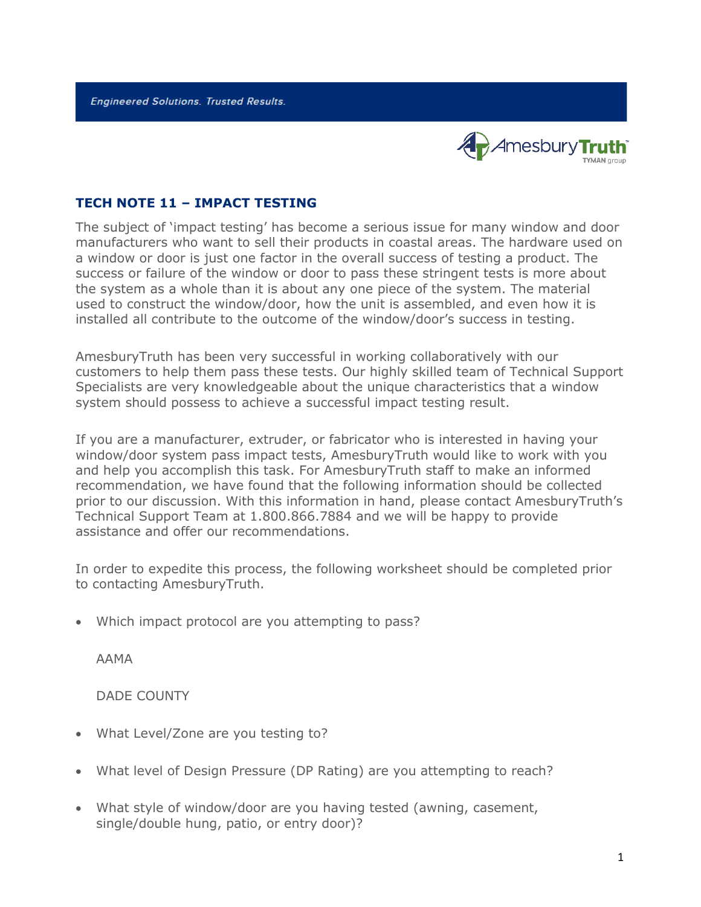**Engineered Solutions. Trusted Results.** 



## **TECH NOTE 11 – IMPACT TESTING**

The subject of 'impact testing' has become a serious issue for many window and door manufacturers who want to sell their products in coastal areas. The hardware used on a window or door is just one factor in the overall success of testing a product. The success or failure of the window or door to pass these stringent tests is more about the system as a whole than it is about any one piece of the system. The material used to construct the window/door, how the unit is assembled, and even how it is installed all contribute to the outcome of the window/door's success in testing.

AmesburyTruth has been very successful in working collaboratively with our customers to help them pass these tests. Our highly skilled team of Technical Support Specialists are very knowledgeable about the unique characteristics that a window system should possess to achieve a successful impact testing result.

If you are a manufacturer, extruder, or fabricator who is interested in having your window/door system pass impact tests, AmesburyTruth would like to work with you and help you accomplish this task. For AmesburyTruth staff to make an informed recommendation, we have found that the following information should be collected prior to our discussion. With this information in hand, please contact AmesburyTruth's Technical Support Team at 1.800.866.7884 and we will be happy to provide assistance and offer our recommendations.

In order to expedite this process, the following worksheet should be completed prior to contacting AmesburyTruth.

• Which impact protocol are you attempting to pass?

AAMA

DADE COUNTY

- What Level/Zone are you testing to?
- What level of Design Pressure (DP Rating) are you attempting to reach?
- What style of window/door are you having tested (awning, casement, single/double hung, patio, or entry door)?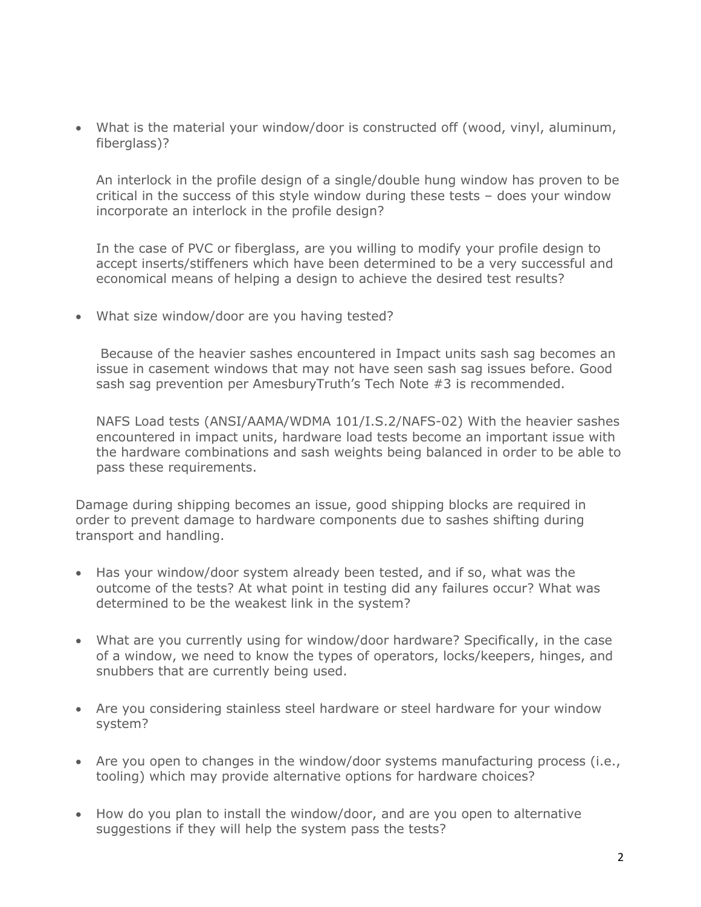• What is the material your window/door is constructed off (wood, vinyl, aluminum, fiberglass)?

An interlock in the profile design of a single/double hung window has proven to be critical in the success of this style window during these tests – does your window incorporate an interlock in the profile design?

In the case of PVC or fiberglass, are you willing to modify your profile design to accept inserts/stiffeners which have been determined to be a very successful and economical means of helping a design to achieve the desired test results?

• What size window/door are you having tested?

Because of the heavier sashes encountered in Impact units sash sag becomes an issue in casement windows that may not have seen sash sag issues before. Good sash sag prevention per AmesburyTruth's Tech Note #3 is recommended.

NAFS Load tests (ANSI/AAMA/WDMA 101/I.S.2/NAFS-02) With the heavier sashes encountered in impact units, hardware load tests become an important issue with the hardware combinations and sash weights being balanced in order to be able to pass these requirements.

Damage during shipping becomes an issue, good shipping blocks are required in order to prevent damage to hardware components due to sashes shifting during transport and handling.

- Has your window/door system already been tested, and if so, what was the outcome of the tests? At what point in testing did any failures occur? What was determined to be the weakest link in the system?
- What are you currently using for window/door hardware? Specifically, in the case of a window, we need to know the types of operators, locks/keepers, hinges, and snubbers that are currently being used.
- Are you considering stainless steel hardware or steel hardware for your window system?
- Are you open to changes in the window/door systems manufacturing process (i.e., tooling) which may provide alternative options for hardware choices?
- How do you plan to install the window/door, and are you open to alternative suggestions if they will help the system pass the tests?